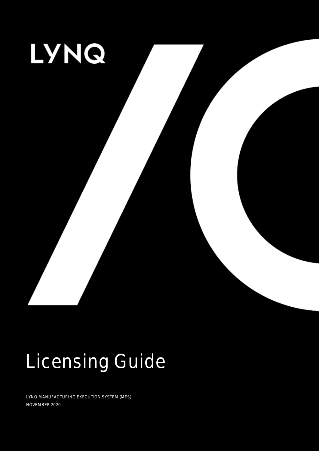

# Licensing Guide

LYNQ MANUFACTURING EXECUTION SYSTEM (MES) NOVEMBER 2020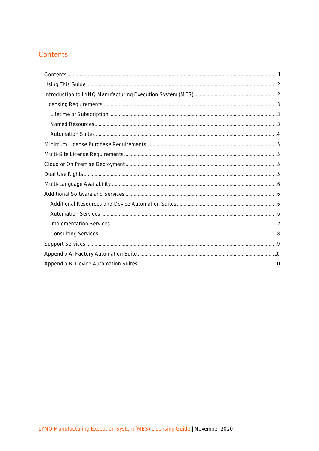# <span id="page-1-0"></span>Contents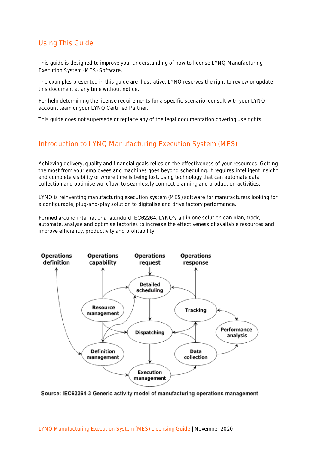# <span id="page-2-0"></span>Using This Guide

This guide is designed to improve your understanding of how to license LYNQ Manufacturing Execution System (MES) Software.

The examples presented in this guide are illustrative. LYNQ reserves the right to review or update this document at any time without notice.

For help determining the license requirements for a specific scenario, consult with your LYNQ account team or your LYNQ Certified Partner.

This guide does not supersede or replace any of the legal documentation covering use rights.

## <span id="page-2-1"></span>Introduction to LYNQ Manufacturing Execution System (MES)

Achieving delivery, quality and financial goals relies on the effectiveness of your resources. Getting the most from your employees and machines goes beyond scheduling. It requires intelligent insight and complete visibility of where time is being lost, using technology that can automate data collection and optimise workflow, to seamlessly connect planning and production activities.

LYNQ is reinventing manufacturing execution system (MES) software for manufacturers looking for a configurable, plug-and-play solution to digitalise and drive factory performance.

Formed around international standard IEC62264, LYNQ's all-in one solution can plan, track, automate, analyse and optimise factories to increase the effectiveness of available resources and improve efficiency, productivity and profitability.



Source: IEC62264-3 Generic activity model of manufacturing operations management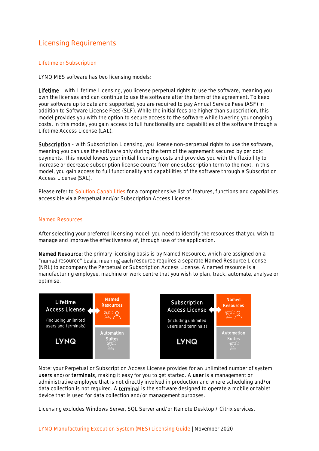# <span id="page-3-0"></span>Licensing Requirements

## <span id="page-3-1"></span>Lifetime or Subscription

LYNQ MES software has two licensing models:

Lifetime - with Lifetime Licensing, you license perpetual rights to use the software, meaning you own the licenses and can continue to use the software after the term of the agreement. To keep your software up to date and supported, you are required to pay Annual Service Fees (ASF) in addition to Software License Fees (SLF). While the initial fees are higher than subscription, this model provides you with the option to secure access to the software while lowering your ongoing costs. In this model, you gain access to full functionality and capabilities of the software through a Lifetime Access License (LAL).

Subscription - with Subscription Licensing, you license non-perpetual rights to use the software, meaning you can use the software only during the term of the agreement secured by periodic payments. This model lowers your initial licensing costs and provides you with the flexibility to increase or decrease subscription license counts from one subscription term to the next. In this model, you gain access to full functionality and capabilities of the software through a Subscription Access License (SAL).

Please refer to [Solution Capabilities](https://lynqmes.com/wp-content/uploads/2019/09/Solution-Capabilities-Guide-2019-R1_Sep.pdf) for a comprehensive list of features, functions and capabilities accessible via a Perpetual and/or Subscription Access License.

### <span id="page-3-2"></span>Named Resources

After selecting your preferred licensing model, you need to identify the resources that you wish to manage and improve the effectiveness of, through use of the application.

Named Resource: the primary licensing basis is by Named Resource, which are assigned on a "named resource" basis, meaning each resource requires a separate Named Resource License (NRL) to accompany the Perpetual or Subscription Access License. A named resource is a manufacturing employee, machine or work centre that you wish to plan, track, automate, analyse or optimise.



Note: your Perpetual or Subscription Access License provides for an unlimited number of system users and/or terminals, making it easy for you to get started. A user is a management or administrative employee that is not directly involved in production and where scheduling and/or data collection is not required. A terminal is the software designed to operate a mobile or tablet device that is used for data collection and/or management purposes.

Licensing excludes Windows Server, SQL Server and/or Remote Desktop / Citrix services.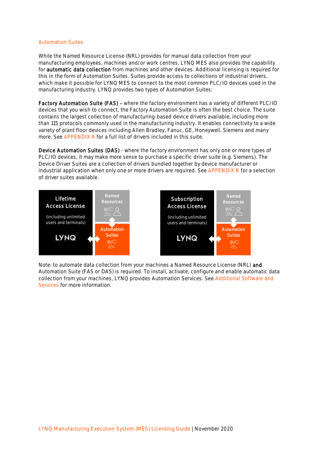## <span id="page-4-0"></span>Automation Suites

While the Named Resource License (NRL) provides for manual data collection from your manufacturing employees, machines and/or work centres, LYNQ MES also provides the capability for automatic data collection from machines and other devices. Additional licensing is required for this in the form of Automation Suites. Suites provide access to collections of industrial drivers, which make it possible for LYNQ MES to connect to the most common PLC/IO devices used in the manufacturing industry. LYNQ provides two types of Automation Suites:

Factory Automation Suite (FAS) - where the factory environment has a variety of different PLC/IO devices that you wish to connect, the Factory Automation Suite is often the best choice. The suite contains the largest collection of manufacturing-based device drivers available, including more than 115 protocols commonly used in the manufacturing industry. It enables connectivity to a wide variety of plant floor devices including Allen Bradley, Fanuc, GE, Honeywell, Siemens and many more. See [APPENDIX A](#page-10-0) for a full list of drivers included in this suite.

Device Automation Suites (DAS) - where the factory environment has only one or more types of PLC/IO devices, it may make more sense to purchase a specific driver suite (e.g. Siemens). The Device Driver Suites are a collection of drivers bundled together by device manufacturer or industrial application when only one or more drivers are required. See [APPENDIX B](#page-11-0) for a selection of driver suites available.



Note: to automate data collection from your machines a Named Resource License (NRL) and Automation Suite (FAS or DAS) is required. To install, activate, configure and enable automatic data collection from your machines, LYNQ provides Automation Services. Se[e Additional Software](#page-6-1) and [Services](#page-6-1) for more information.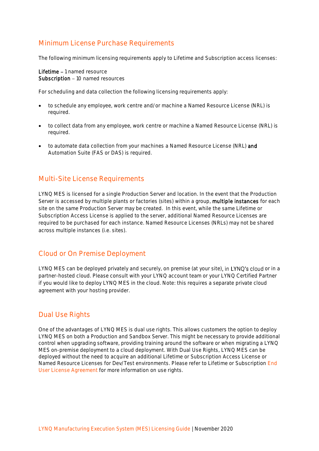# <span id="page-5-0"></span>Minimum License Purchase Requirements

The following minimum licensing requirements apply to Lifetime and Subscription access licenses:

Lifetime - 1 named resource Subscription - 10 named resources

For scheduling and data collection the following licensing requirements apply:

- to schedule any employee, work centre and/or machine a Named Resource License (NRL) is required.
- to collect data from any employee, work centre or machine a Named Resource License (NRL) is required.
- to automate data collection from your machines a Named Resource License (NRL) and Automation Suite (FAS or DAS) is required.

## <span id="page-5-1"></span>Multi-Site License Requirements

LYNQ MES is licensed for a single Production Server and location. In the event that the Production Server is accessed by multiple plants or factories (sites) within a group, multiple instances for each site on the same Production Server may be created. In this event, while the same Lifetime or Subscription Access License is applied to the server, additional Named Resource Licenses are required to be purchased for each instance. Named Resource Licenses (NRLs) may not be shared across multiple instances (i.e. sites).

# <span id="page-5-2"></span>Cloud or On Premise Deployment

LYNQ MES can be deployed privately and securely, on premise (at your site), in LYNQ's cloud or in a partner-hosted cloud. Please consult with your LYNQ account team or your LYNQ Certified Partner if you would like to deploy LYNQ MES in the cloud. Note: this requires a separate private cloud agreement with your hosting provider.

# <span id="page-5-3"></span>Dual Use Rights

One of the advantages of LYNQ MES is dual use rights. This allows customers the option to deploy LYNQ MES on both a Production and Sandbox Server. This might be necessary to provide additional control when upgrading software, providing training around the software or when migrating a LYNQ MES on-premise deployment to a cloud deployment. With Dual Use Rights, LYNQ MES can be deployed without the need to acquire an additional Lifetime or Subscription Access License or Named Resource Licenses for Dev/Test environments. Please refer to Lifetime or Subscription [End](https://lynqmes.com/licensing/)  [User License Agreement](https://lynqmes.com/licensing/) for more information on use rights.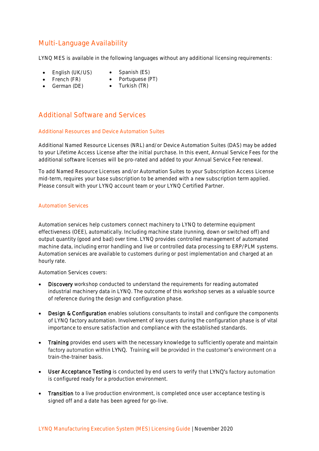# <span id="page-6-0"></span>Multi-Language Availability

LYNQ MES is available in the following languages without any additional licensing requirements:

- English (UK/US)
	- Spanish (ES)
- French (FR) • German (DE)
- Portuguese (PT)
- Turkish (TR)

# <span id="page-6-1"></span>Additional Software and Services

## <span id="page-6-2"></span>Additional Resources and Device Automation Suites

Additional Named Resource Licenses (NRL) and/or Device Automation Suites (DAS) may be added to your Lifetime Access License after the initial purchase. In this event, Annual Service Fees for the additional software licenses will be pro-rated and added to your Annual Service Fee renewal.

To add Named Resource Licenses and/or Automation Suites to your Subscription Access License mid-term, requires your base subscription to be amended with a new subscription term applied. Please consult with your LYNQ account team or your LYNQ Certified Partner.

## <span id="page-6-3"></span>Automation Services

Automation services help customers connect machinery to LYNQ to determine equipment effectiveness (OEE), automatically. Including machine state (running, down or switched off) and output quantity (good and bad) over time. LYNQ provides controlled management of automated machine data, including error handling and live or controlled data processing to ERP/PLM systems. Automation services are available to customers during or post implementation and charged at an hourly rate.

## Automation Services covers:

- Discovery workshop conducted to understand the requirements for reading automated industrial machinery data in LYNQ. The outcome of this workshop serves as a valuable source of reference during the design and configuration phase.
- Design & Configuration enables solutions consultants to install and configure the components of LYNQ factory automation. Involvement of key users during the configuration phase is of vital importance to ensure satisfaction and compliance with the established standards.
- Training provides end users with the necessary knowledge to sufficiently operate and maintain factory automation within LYNQ. Training will be provided in the customer's environment on a train-the-trainer basis.
- User Acceptance Testing is conducted by end users to verify that LYNQ's factory automation is configured ready for a production environment.
- Transition to a live production environment, is completed once user acceptance testing is signed off and a date has been agreed for go-live.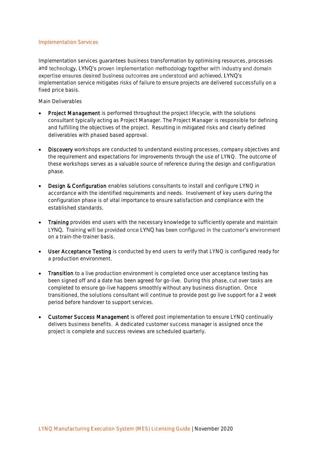#### <span id="page-7-0"></span>Implementation Services

Implementation services guarantees business transformation by optimising resources, processes and technology. LYNQ's proven implementation methodology together with industry and domain expertise ensures desired business outcomes are understood and achieved. LYNQ's implementation service mitigates risks of failure to ensure projects are delivered successfully on a fixed price basis.

Main Deliverables

- Project Management is performed throughout the project lifecycle, with the solutions consultant typically acting as Project Manager. The Project Manager is responsible for defining and fulfilling the objectives of the project. Resulting in mitigated risks and clearly defined deliverables with phased based approval.
- Discovery workshops are conducted to understand existing processes, company objectives and the requirement and expectations for improvements through the use of LYNQ. The outcome of these workshops serves as a valuable source of reference during the design and configuration phase.
- Design & Configuration enables solutions consultants to install and configure LYNQ in accordance with the identified requirements and needs. Involvement of key users during the configuration phase is of vital importance to ensure satisfaction and compliance with the established standards.
- Training provides end users with the necessary knowledge to sufficiently operate and maintain LYNQ. Training will be provided once LYNQ has been configured in the customer's environment on a train-the-trainer basis.
- User Acceptance Testing is conducted by end users to verify that LYNQ is configured ready for a production environment.
- Transition to a live production environment is completed once user acceptance testing has been signed off and a date has been agreed for go-live. During this phase, cut over tasks are completed to ensure go-live happens smoothly without any business disruption. Once transitioned, the solutions consultant will continue to provide post go live support for a 2 week period before handover to support services.
- Customer Success Management is offered post implementation to ensure LYNQ continually delivers business benefits. A dedicated customer success manager is assigned once the project is complete and success reviews are scheduled quarterly.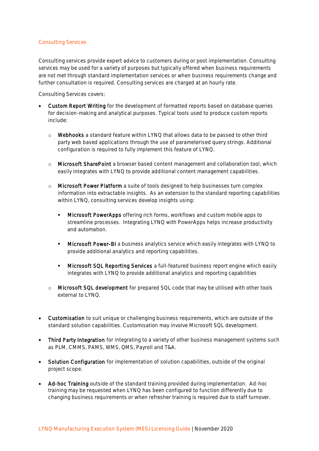## <span id="page-8-0"></span>Consulting Services

Consulting services provide expert advice to customers during or post implementation. Consulting services may be used for a variety of purposes but typically offered when business requirements are not met through standard implementation services or when business requirements change and further consultation is required. Consulting services are charged at an hourly rate.

Consulting Services covers:

- Custom Report Writing for the development of formatted reports based on database queries for decision-making and analytical purposes. Typical tools used to produce custom reports include:
	- o Webhooks a standard feature within LYNQ that allows data to be passed to other third party web based applications through the use of parameterised query strings. Additional configuration is required to fully implement this feature of LYNQ.
	- o Microsoft SharePoint a browser based content management and collaboration tool, which easily integrates with LYNQ to provide additional content management capabilities.
	- $\circ$  Microsoft Power Platform a suite of tools designed to help businesses turn complex information into extractable insights. As an extension to the standard reporting capabilities within LYNQ, consulting services develop insights using:
		- **Microsoft PowerApps** offering rich forms, workflows and custom mobile apps to streamline processes. Integrating LYNQ with PowerApps helps increase productivity and automation.
		- Microsoft Power-BI a business analytics service which easily integrates with LYNQ to provide additional analytics and reporting capabilities.
		- **E** Microsoft SQL Reporting Services a full-featured business report engine which easily integrates with LYNQ to provide additional analytics and reporting capabilities
	- o Microsoft SQL development for prepared SQL code that may be utilised with other tools external to LYNQ.
- Customisation to suit unique or challenging business requirements, which are outside of the standard solution capabilities. Customisation may involve Microsoft SQL development.
- Third Party Integration for integrating to a variety of other business management systems such as PLM, CMMS, PAMS, WMS, QMS, Payroll and T&A.
- Solution Configuration for implementation of solution capabilities, outside of the original project scope.
- Ad-hoc Training outside of the standard training provided during implementation. Ad-hoc training may be requested when LYNQ has been configured to function differently due to changing business requirements or when refresher training is required due to staff turnover.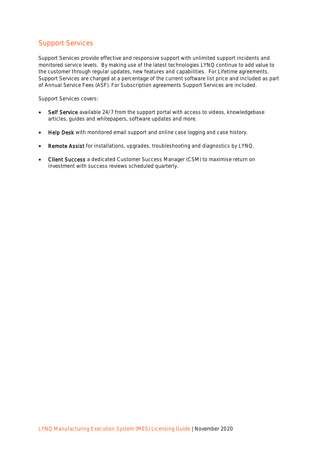# <span id="page-9-0"></span>Support Services

Support Services provide effective and responsive support with unlimited support incidents and monitored service levels. By making use of the latest technologies LYNQ continue to add value to the customer through regular updates, new features and capabilities. For Lifetime agreements, Support Services are charged at a percentage of the current software list price and included as part of Annual Service Fees (ASF). For Subscription agreements Support Services are included.

Support Services covers:

- Self Service available 24/7 from the support portal with access to videos, knowledgebase articles, guides and whitepapers, software updates and more.
- Help Desk with monitored email support and online case logging and case history.
- Remote Assist for installations, upgrades, troubleshooting and diagnostics by LYNQ.
- Client Success a dedicated Customer Success Manager (CSM) to maximise return on investment with success reviews scheduled quarterly.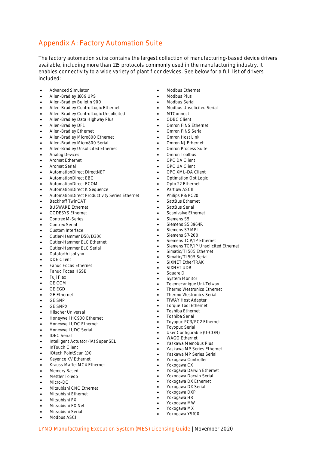# <span id="page-10-0"></span>Appendix A: Factory Automation Suite

The factory automation suite contains the largest collection of manufacturing-based device drivers available, including more than 115 protocols commonly used in the manufacturing industry. It enables connectivity to a wide variety of plant floor devices. See below for a full list of drivers included:

- Advanced Simulator
- Allen-Bradley 1609 UPS
- Allen-Bradley Bulletin 900
- Allen-Bradley ControlLogix Ethernet
- Allen-Bradley ControlLogix Unsolicited
- Allen-Bradley Data Highway Plus<br>Allen-Bradley DE1
- Allen-Bradley DF1
- Allen-Bradley Ethernet
- Allen-Bradley Micro800 Ethernet
- Allen-Bradley Micro800 Serial
- Allen-Bradley Unsolicited Ethernet
- Analog Devices
- $\bullet$  Aromat Ethernet
- Aromat Serial
- AutomationDirect DirectNET
- AutomationDirect EBC
- AutomationDirect EBC<br>• AutomationDirect ECOM
- AutomationDirect K Sequence
- AutomationDirect Productivity Series Ethernet
- Beckhoff TwinCAT
- BUSWARE Ethernet
- BUSWARL Linemet<br>• CODESYS Ethernet
- Contrex M-Series
- Contrex Serial
- Custom Interface
- Cutler-Hammer D50/D300
- Cutler-Hammer DoorDsoo<br>• Cutler-Hammer ELC Ethernet
- Cutler-Hammer ELC Serial
- Dataforth isoLynx
- DDE Client
- Fanuc Focas Ethernet
- Fanuc Focas Ethernet<br>• Fanuc Focas HSSB
- $\bullet$  Fuji Flex
- $\bullet$  GE CCM
- $\bullet$  GE EGD
- $\sigma$  CL CND $\sigma$ **GE Ethernet**
- GE SNP
- GE SNPX
- Hilscher Universal
- Honeywell HC900 Ethernet
- Honeywell UDC Ethernet
- Honeywell UDC Serial
- IDEC Serial
- Intelligent Actuator (IA) Super SEL
- InTouch Client
- IOtech PointScan 100
- Forech Politiscan fou<br>• Keyence KV Ethernet
- Krauss Maffei MC4 Ethernet
- Memory Based
- Mettler Toledo
- Micro-DC
- Micro-DC<br>• Mitsubishi CNC Ethernet
- Mitsubishi Ethernet
- Mitsubishi FX
- Mitsubishi FX Net
- Mitsubishi Serial • Modbus ASCII
- 
- Modbus Ethernet
- Modbus Plus
- Modbus Serial
- Modbus Unsolicited Serial
- MTConnect
- ODBC Client
- Omron FINS Ethernet
- Omron FINS Serial
- Omron Host Link
- Omron NJ Ethernet
- Omron Process Suite  $\overline{\phantom{a}}$
- Omron Toolbus
- OPC DA Client
- OPC UA Client
- OPC XML-DA Client
- Optimation OptiLogic
- Opto 22 Ethernet
- Partlow ASCII
- Philips P8/PC20
- SattBus Ethernet
- SattBus Serial
- Scanivalve Ethernet
- Siemens S5
- $\overline{\phantom{a}}$  definents 33 • Siemens S5 3964R
- $\overline{\phantom{a}}$  Seriens Structures Series Series Series Series Series Series Series Series Series Series Series Series Series Series Series Series Series Series Series Series Series Series Series Series Series Series Series S • Siemens S7 MPI
- Siemens S7-200
- Siemens TCP/IP Ethernet
- Siemens TCP/IP Unsolicited Ethernet
- Simatic/TI 505 Ethernet<br>• Simatic/TI 505 Ethernet
- Simatic/TI 505 Ethen<br>• Simatic/TI 505 Serial Yokogawa DX Ethernet
- SIXNET EtherTRAK • SIXNET UDR
- $\overline{\phantom{a}}$   $\overline{\phantom{a}}$   $\overline{\phantom{a}}$   $\overline{\phantom{a}}$   $\overline{\phantom{a}}$   $\overline{\phantom{a}}$
- Square D
- System Monitor
- Telemecanique Uni-Telway
- Thermo Westronics Ethernet • Thermo Westronics Serial
- TIWAY Host Adapter
- Torque Tool Ethernet

• Toyopuc Serial • User Configurable (U-CON) • WAGO Ethernet • Yaskawa Memobus Plus • Yaskawa MP Series Ethernet • Yaskawa MP Series Serial • Yokogawa Controller • Yokogawa CX

- Toshiba Ethernet
- Toshiba Serial

LYNQ Manufacturing Execution System (MES) Licensing Guide | November 2020

• Toyopuc PC3/PC2 Ethernet

• Yokogawa Darwin Ethernet • Yokogawa Darwin Serial • Yokogawa DX Ethernet • Yokogawa DX Serial • Yokogawa DXP • Yokogawa HR • Yokogawa MW • Yokogawa MX • Yokogawa YS100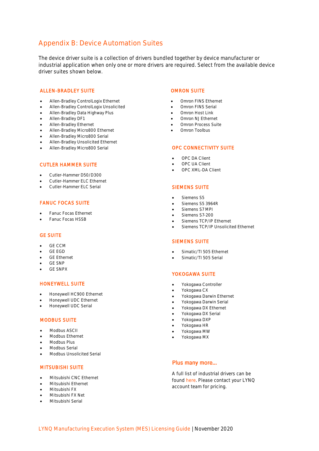## <span id="page-11-0"></span>Appendix B: Device Automation Suites

The device driver suite is a collection of drivers bundled together by device manufacturer or industrial application when only one or more drivers are required. Select from the available device driver suites shown below.

#### ALLEN-BRADLEY SUITE

- Allen-Bradley ControlLogix Ethernet
- Allen-Bradley ControlLogix Unsolicited
- Allen-Bradley Data Highway Plus
- Allen-Bradley DF1
- Allen-Bradley Ethernet
- Allen-Bradley Micro800 Ethernet
- Allen-Bradley Micro800 Serial
- Allen-Bradley Unsolicited Ethernet
- Allen-Bradley Micro800 Serial

## CUTLER HAMMER SUITE

- Cutler-Hammer D50/D300
- Cutler-Hammer ELC Ethernet
- Cutler-Hammer ELC Serial

#### FANUC FOCAS SUITE

- Fanuc Focas Ethernet
- Fanuc Focas HSSB

#### GE SUITE

- GE CCM
- GE EGD
- GE Ethernet
- GE SNP
- GE SNPX

#### HONEYWELL SUITE

- Honeywell HC900 Ethernet
- Honeywell UDC Ethernet
- Honeywell UDC Serial

#### MODBUS SUITE

- Modbus ASCII
- Modbus Ethernet
- Modbus Plus
- Modbus Serial
- Modbus Unsolicited Serial

#### MITSUBISHI SUITE

- Mitsubishi CNC Ethernet
- Mitsubishi Ethernet
- Mitsubishi FX
- Mitsubishi FX Net
- Mitsubishi Serial

#### OMRON SUITE

- Omron FINS Ethernet
- Omron FINS Serial
- Omron Host Link
- Omron NJ Ethernet
- Omron Process Suite
- Omron Toolbus

#### OPC CONNECTIVITY SUITE

- OPC DA Client
- OPC UA Client
- OPC XML-DA Client

#### SIEMENS SUITE

- Siemens S5
- Siemens S5 3964R
- Siemens S7 MPI
- Siemens S7-200
- Siemens TCP/IP Ethernet
- Siemens TCP/IP Unsolicited Ethernet

#### SIEMENS SUITE

- Simatic/TI 505 Ethernet
- Simatic/TI 505 Serial

#### YOKOGAWA SUITE

- Yokogawa Controller
- Yokogawa CX
- Yokogawa Darwin Ethernet
- Yokogawa Darwin Serial
- Yokogawa DX Ethernet
- Yokogawa DX Serial
- Yokogawa DXP
- Yokogawa HR
- Yokogawa MW
- Yokogawa MX

#### Plus many more...

A full list of industrial drivers can be found [here.](https://lynqmes.com/wp-content/uploads/2019/03/Datasheet-Industrial-Drivers.pdf) Please contact your LYNQ account team for pricing.